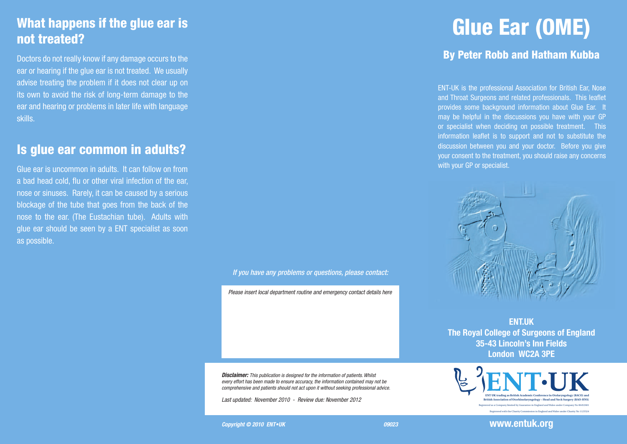## What happens if the glue ear is not treated?

Doctors do not really know if any damage occurs to the ear or hearing if the glue ear is not treated. We usually advise treating the problem if it does not clear up on its own to avoid the risk of long-term damage to the ear and hearing or problems in later life with language skills.

#### Is glue ear common in adults?

Glue ear is uncommon in adults. It can follow on from a bad head cold, flu or other viral infection of the ear, nose or sinuses. Rarely, it can be caused by a serious blockage of the tube that goes from the back of the nose to the ear. (The Eustachian tube). Adults with glue ear should be seen by a ENT specialist as soon as possible.

*If you have any problems or questions, please contact:*

*Please insert local department routine and emergency contact details here*

*Disclaimer: This publication is designed for the information of patients. Whilst every effort has been made to ensure accuracy, the information contained may not be comprehensive and patients should not act upon it without seeking professional advice.*

*Last updated: November 2010 - Review due: November 2012* 

#### **Copyright © 2010 ENT•UK** 09023

# Glue Ear (OME)

#### By Peter Robb and Hatham Kubba

ENT-UK is the professional Association for British Ear, Nose and Throat Surgeons and related professionals. This leaflet provides some background information about Glue Ear. It may be helpful in the discussions you have with your GP or specialist when deciding on possible treatment. This information leaflet is to support and not to substitute the discussion between you and your doctor. Before you give your consent to the treatment, you should raise any concerns with your GP or specialist.



**ENT.UK The Royal College of Surgeons of England 35-43 Lincoln's Inn Fields London WC2A 3PE**



**www.entuk.org**